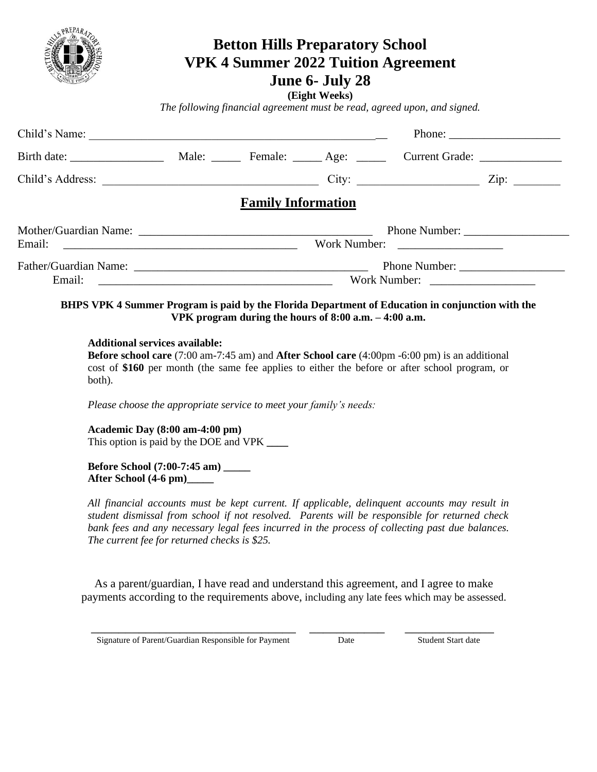

# **Betton Hills Preparatory School VPK 4 Summer 2022 Tuition Agreement June 6- July 28**

**(Eight Weeks)**

*The following financial agreement must be read, agreed upon, and signed.*

| Child's Name: |              |                                        |  |       | Phone: $\frac{1}{\sqrt{1-\frac{1}{2}} \cdot \frac{1}{2}}$ |  |
|---------------|--------------|----------------------------------------|--|-------|-----------------------------------------------------------|--|
|               |              | Male: <u>Female:</u> Age: <u>_____</u> |  |       | Current Grade: ________________                           |  |
|               |              |                                        |  | City: |                                                           |  |
|               |              | <b>Family Information</b>              |  |       |                                                           |  |
|               |              |                                        |  |       |                                                           |  |
|               | Work Number: |                                        |  |       |                                                           |  |
|               |              |                                        |  |       |                                                           |  |
| Email:        | Work Number: |                                        |  |       |                                                           |  |

#### **BHPS VPK 4 Summer Program is paid by the Florida Department of Education in conjunction with the VPK program during the hours of 8:00 a.m. – 4:00 a.m.**

#### **Additional services available:**

**Before school care** (7:00 am-7:45 am) and **After School care** (4:00pm -6:00 pm) is an additional cost of **\$160** per month (the same fee applies to either the before or after school program, or both).

*Please choose the appropriate service to meet your family's needs:*

**Academic Day (8:00 am-4:00 pm)**  This option is paid by the DOE and VPK **\_\_\_\_**

**Before School (7:00-7:45 am) \_\_\_\_\_ After School (4-6 pm)\_\_\_\_\_**

*All financial accounts must be kept current. If applicable, delinquent accounts may result in student dismissal from school if not resolved. Parents will be responsible for returned check bank fees and any necessary legal fees incurred in the process of collecting past due balances. The current fee for returned checks is \$25.*

As a parent/guardian, I have read and understand this agreement, and I agree to make payments according to the requirements above, including any late fees which may be assessed.

**Signature of Parent/Guardian Responsible for Payment Date Student Start date Student Start date** 

\_\_\_\_\_\_\_\_\_\_\_\_\_\_\_\_\_\_\_\_\_\_\_\_\_\_\_\_\_\_ \_\_\_\_\_\_\_\_\_\_\_ \_\_\_\_\_\_\_\_\_\_\_\_\_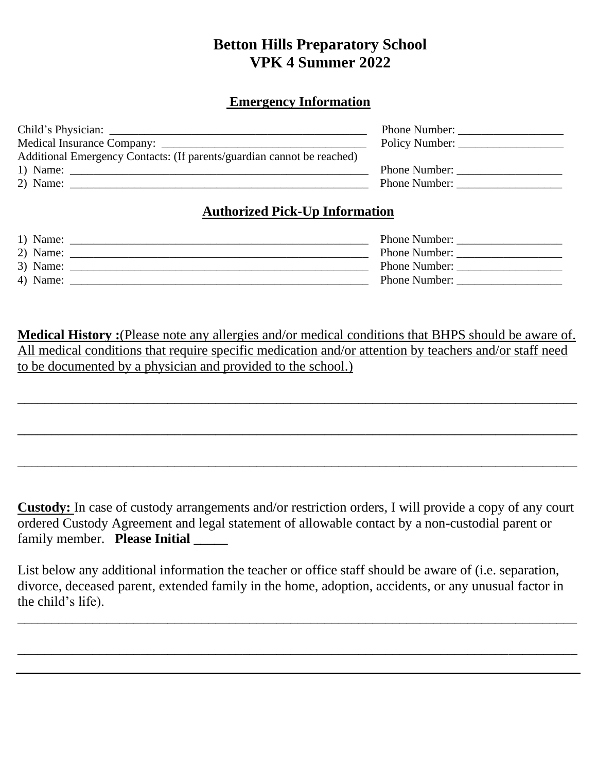## **Betton Hills Preparatory School VPK 4 Summer 2022**

#### **Emergency Information**

| Phone Number:        |
|----------------------|
| Policy Number:       |
|                      |
| <b>Phone Number:</b> |
| Phone Number:        |
|                      |

#### **Authorized Pick-Up Information**

| 1) Name: | <b>Phone Number:</b> |
|----------|----------------------|
| 2) Name: | <b>Phone Number:</b> |
| 3) Name: | <b>Phone Number:</b> |
| 4) Name: | <b>Phone Number:</b> |

**Medical History :**(Please note any allergies and/or medical conditions that BHPS should be aware of. All medical conditions that require specific medication and/or attention by teachers and/or staff need to be documented by a physician and provided to the school.)

\_\_\_\_\_\_\_\_\_\_\_\_\_\_\_\_\_\_\_\_\_\_\_\_\_\_\_\_\_\_\_\_\_\_\_\_\_\_\_\_\_\_\_\_\_\_\_\_\_\_\_\_\_\_\_\_\_\_\_\_\_\_\_\_\_\_\_\_\_\_\_\_\_\_\_\_\_\_\_\_\_\_

\_\_\_\_\_\_\_\_\_\_\_\_\_\_\_\_\_\_\_\_\_\_\_\_\_\_\_\_\_\_\_\_\_\_\_\_\_\_\_\_\_\_\_\_\_\_\_\_\_\_\_\_\_\_\_\_\_\_\_\_\_\_\_\_\_\_\_\_\_\_\_\_\_\_\_\_\_\_\_\_\_\_

\_\_\_\_\_\_\_\_\_\_\_\_\_\_\_\_\_\_\_\_\_\_\_\_\_\_\_\_\_\_\_\_\_\_\_\_\_\_\_\_\_\_\_\_\_\_\_\_\_\_\_\_\_\_\_\_\_\_\_\_\_\_\_\_\_\_\_\_\_\_\_\_\_\_\_\_\_\_\_\_\_\_

**Custody:** In case of custody arrangements and/or restriction orders, I will provide a copy of any court ordered Custody Agreement and legal statement of allowable contact by a non-custodial parent or family member. **Please Initial \_\_\_\_\_**

List below any additional information the teacher or office staff should be aware of (i.e. separation, divorce, deceased parent, extended family in the home, adoption, accidents, or any unusual factor in the child's life).

\_\_\_\_\_\_\_\_\_\_\_\_\_\_\_\_\_\_\_\_\_\_\_\_\_\_\_\_\_\_\_\_\_\_\_\_\_\_\_\_\_\_\_\_\_\_\_\_\_\_\_\_\_\_\_\_\_\_\_\_\_\_\_\_\_\_\_\_\_\_\_\_\_\_\_\_\_\_\_\_\_\_

\_\_\_\_\_\_\_\_\_\_\_\_\_\_\_\_\_\_\_\_\_\_\_\_\_\_\_\_\_\_\_\_\_\_\_\_\_\_\_\_\_\_\_\_\_\_\_\_\_\_\_\_\_\_\_\_\_\_\_\_\_\_\_\_\_\_\_\_\_\_\_\_\_\_\_\_\_\_\_\_\_\_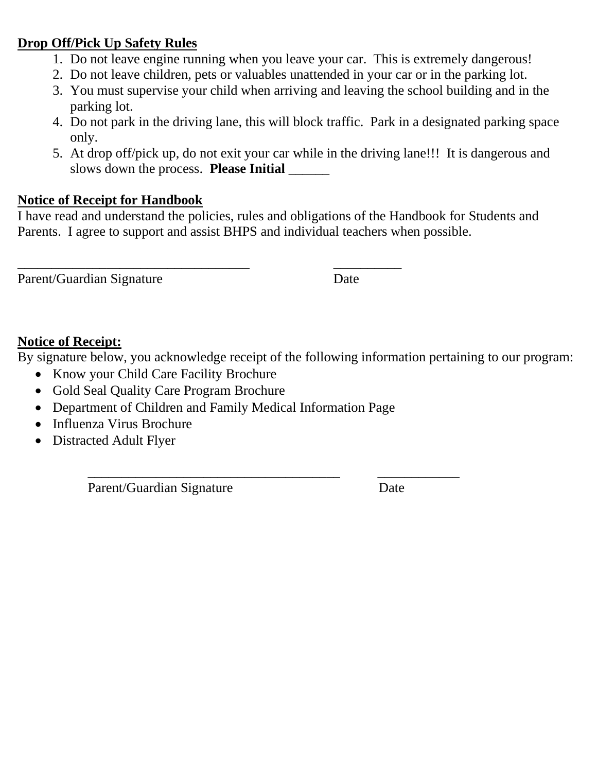### **Drop Off/Pick Up Safety Rules**

- 1. Do not leave engine running when you leave your car. This is extremely dangerous!
- 2. Do not leave children, pets or valuables unattended in your car or in the parking lot.
- 3. You must supervise your child when arriving and leaving the school building and in the parking lot.
- 4. Do not park in the driving lane, this will block traffic. Park in a designated parking space only.
- 5. At drop off/pick up, do not exit your car while in the driving lane!!! It is dangerous and slows down the process. **Please Initial** \_\_\_\_\_\_

### **Notice of Receipt for Handbook**

I have read and understand the policies, rules and obligations of the Handbook for Students and Parents. I agree to support and assist BHPS and individual teachers when possible.

Parent/Guardian Signature Date

\_\_\_\_\_\_\_\_\_\_\_\_\_\_\_\_\_\_\_\_\_\_\_\_\_\_\_\_\_\_\_\_\_\_ \_\_\_\_\_\_\_\_\_\_

### **Notice of Receipt:**

By signature below, you acknowledge receipt of the following information pertaining to our program:

- Know your Child Care Facility Brochure
- Gold Seal Quality Care Program Brochure
- Department of Children and Family Medical Information Page
- Influenza Virus Brochure
- Distracted Adult Flyer

Parent/Guardian Signature Date

\_\_\_\_\_\_\_\_\_\_\_\_\_\_\_\_\_\_\_\_\_\_\_\_\_\_\_\_\_\_\_\_\_\_\_\_\_ \_\_\_\_\_\_\_\_\_\_\_\_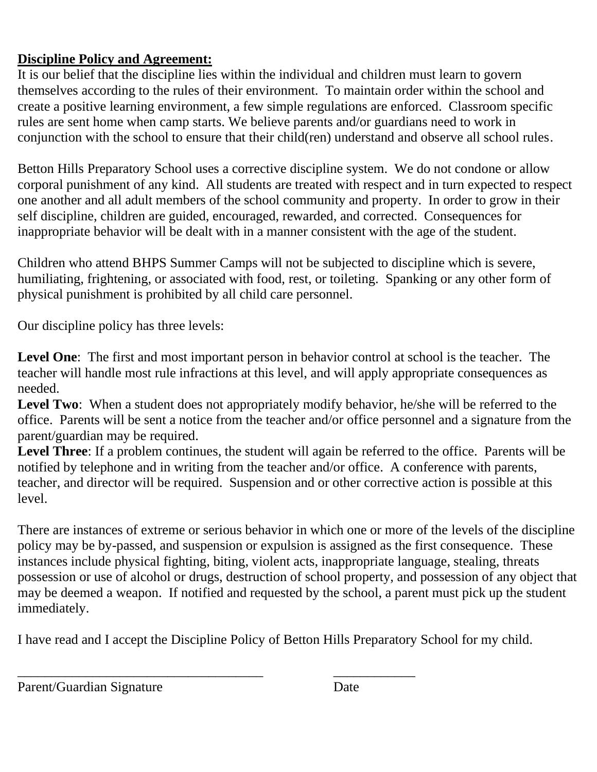## **Discipline Policy and Agreement:**

It is our belief that the discipline lies within the individual and children must learn to govern themselves according to the rules of their environment. To maintain order within the school and create a positive learning environment, a few simple regulations are enforced. Classroom specific rules are sent home when camp starts. We believe parents and/or guardians need to work in conjunction with the school to ensure that their child(ren) understand and observe all school rules.

Betton Hills Preparatory School uses a corrective discipline system. We do not condone or allow corporal punishment of any kind. All students are treated with respect and in turn expected to respect one another and all adult members of the school community and property. In order to grow in their self discipline, children are guided, encouraged, rewarded, and corrected. Consequences for inappropriate behavior will be dealt with in a manner consistent with the age of the student.

Children who attend BHPS Summer Camps will not be subjected to discipline which is severe, humiliating, frightening, or associated with food, rest, or toileting. Spanking or any other form of physical punishment is prohibited by all child care personnel.

Our discipline policy has three levels:

**Level One**: The first and most important person in behavior control at school is the teacher. The teacher will handle most rule infractions at this level, and will apply appropriate consequences as needed.

Level Two: When a student does not appropriately modify behavior, he/she will be referred to the office. Parents will be sent a notice from the teacher and/or office personnel and a signature from the parent/guardian may be required.

**Level Three**: If a problem continues, the student will again be referred to the office. Parents will be notified by telephone and in writing from the teacher and/or office. A conference with parents, teacher, and director will be required. Suspension and or other corrective action is possible at this level.

There are instances of extreme or serious behavior in which one or more of the levels of the discipline policy may be by-passed, and suspension or expulsion is assigned as the first consequence. These instances include physical fighting, biting, violent acts, inappropriate language, stealing, threats possession or use of alcohol or drugs, destruction of school property, and possession of any object that may be deemed a weapon. If notified and requested by the school, a parent must pick up the student immediately.

I have read and I accept the Discipline Policy of Betton Hills Preparatory School for my child.

\_\_\_\_\_\_\_\_\_\_\_\_\_\_\_\_\_\_\_\_\_\_\_\_\_\_\_\_\_\_\_\_\_\_\_\_ \_\_\_\_\_\_\_\_\_\_\_\_

Parent/Guardian Signature Date